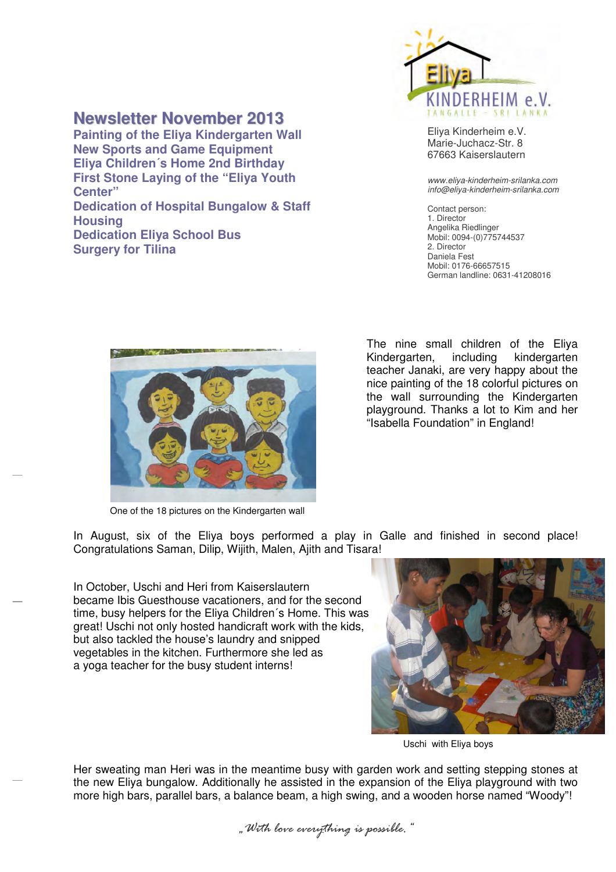## **Newsletter November 2013**

**First Stone Laying of the "Eliya Youth Dedication of Hospital Bungalow & Staff Painting of the Eliya Kindergarten Wall New Sports and Game Equipment Eliya Children´s Home 2nd Birthday Center" Housing Dedication Eliya School Bus Surgery for Tilina** 



Eliya Kinderheim e.V. Marie-Juchacz-Str. 8 67663 Kaiserslautern

www.eliya-kinderheim-srilanka.com info@eliya-kinderheim-srilanka.com

 Contact person: 1. Director Angelika Riedlinger Mobil: 0094-(0)7757445372. Director Daniela Fest Mobil: 0176-66657515 German landline: 0631-41208016



One of the 18 pictures on the Kindergarten wall

The nine small children of the Eliya Kindergarten, including kindergarten teacher Janaki, are very happy about the nice painting of the 18 colorful pictures on the wall surrounding the Kindergarten playground. Thanks a lot to Kim and her "Isabella Foundation" in England!

In August, six of the Eliya boys performed a play in Galle and finished in second place! Congratulations Saman, Dilip, Wijith, Malen, Ajith and Tisara!

In October, Uschi and Heri from Kaiserslautern became Ibis Guesthouse vacationers, and for the second time, busy helpers for the Eliya Children´s Home. This was great! Uschi not only hosted handicraft work with the kids, but also tackled the house's laundry and snipped vegetables in the kitchen. Furthermore she led as a yoga teacher for the busy student interns!



Uschi with Eliya boys

Her sweating man Heri was in the meantime busy with garden work and setting stepping stones at the new Eliya bungalow. Additionally he assisted in the expansion of the Eliya playground with two more high bars, parallel bars, a balance beam, a high swing, and a wooden horse named "Woody"!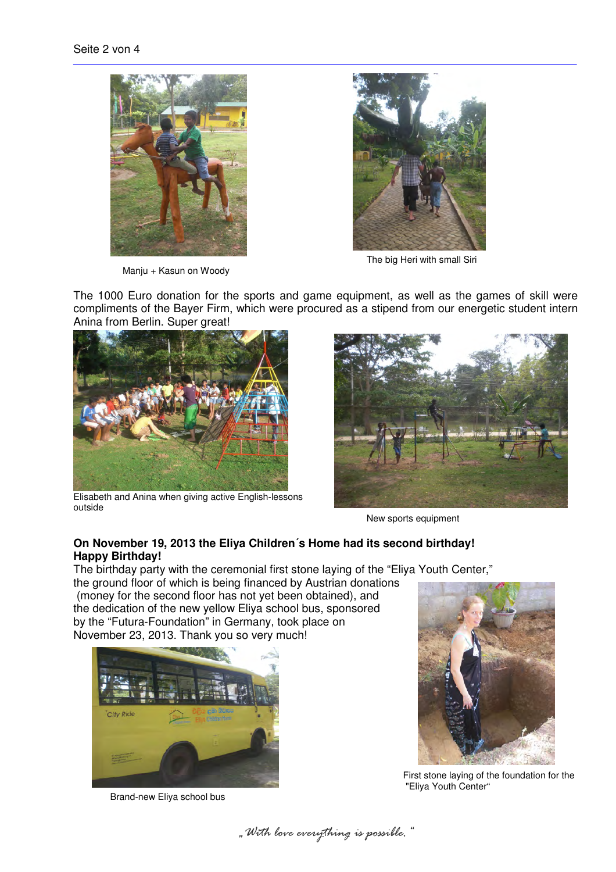

Manju + Kasun on Woody



The big Heri with small Siri

The 1000 Euro donation for the sports and game equipment, as well as the games of skill were compliments of the Bayer Firm, which were procured as a stipend from our energetic student intern Anina from Berlin. Super great!



Elisabeth and Anina when giving active English-lessons outside



New sports equipment

## **On November 19, 2013 the Eliya Children´s Home had its second birthday! Happy Birthday!**

The birthday party with the ceremonial first stone laying of the "Eliya Youth Center,"

the ground floor of which is being financed by Austrian donations (money for the second floor has not yet been obtained), and the dedication of the new yellow Eliya school bus, sponsored by the "Futura-Foundation" in Germany, took place on November 23, 2013. Thank you so very much!



Brand-new Eliya school bus



First stone laying of the foundation for the "Eliya Youth Center"

*"With love everything is possible."*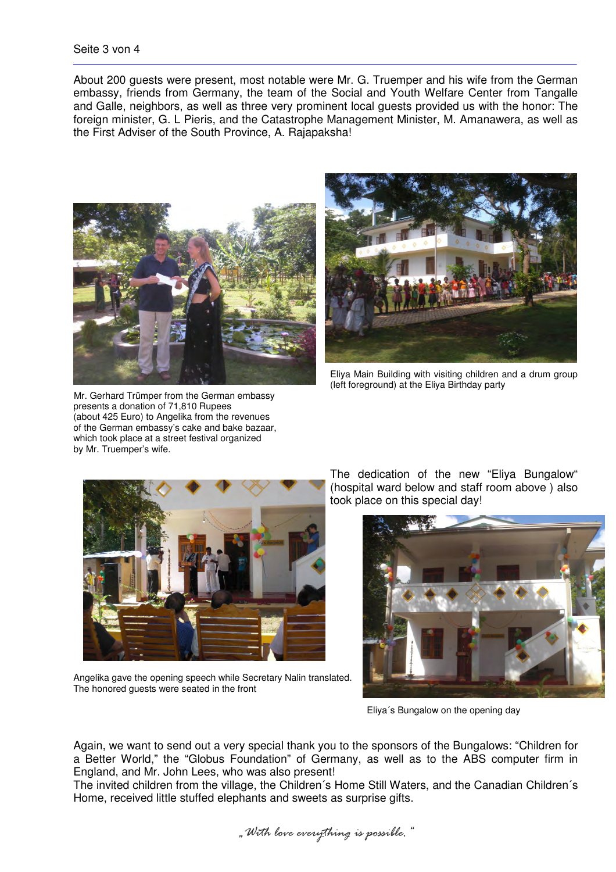About 200 guests were present, most notable were Mr. G. Truemper and his wife from the German embassy, friends from Germany, the team of the Social and Youth Welfare Center from Tangalle and Galle, neighbors, as well as three very prominent local guests provided us with the honor: The foreign minister, G. L Pieris, and the Catastrophe Management Minister, M. Amanawera, as well as the First Adviser of the South Province, A. Rajapaksha!



Mr. Gerhard Trümper from the German embassy presents a donation of 71,810 Rupees (about 425 Euro) to Angelika from the revenues of the German embassy's cake and bake bazaar, which took place at a street festival organized by Mr. Truemper's wife.



Eliya Main Building with visiting children and a drum group (left foreground) at the Eliya Birthday party



Angelika gave the opening speech while Secretary Nalin translated. The honored guests were seated in the front

The dedication of the new "Eliya Bungalow" (hospital ward below and staff room above ) also took place on this special day!



Eliya´s Bungalow on the opening day

Again, we want to send out a very special thank you to the sponsors of the Bungalows: "Children for a Better World," the "Globus Foundation" of Germany, as well as to the ABS computer firm in England, and Mr. John Lees, who was also present!

The invited children from the village, the Children´s Home Still Waters, and the Canadian Children´s Home, received little stuffed elephants and sweets as surprise gifts.

*"With love everything is possible."*